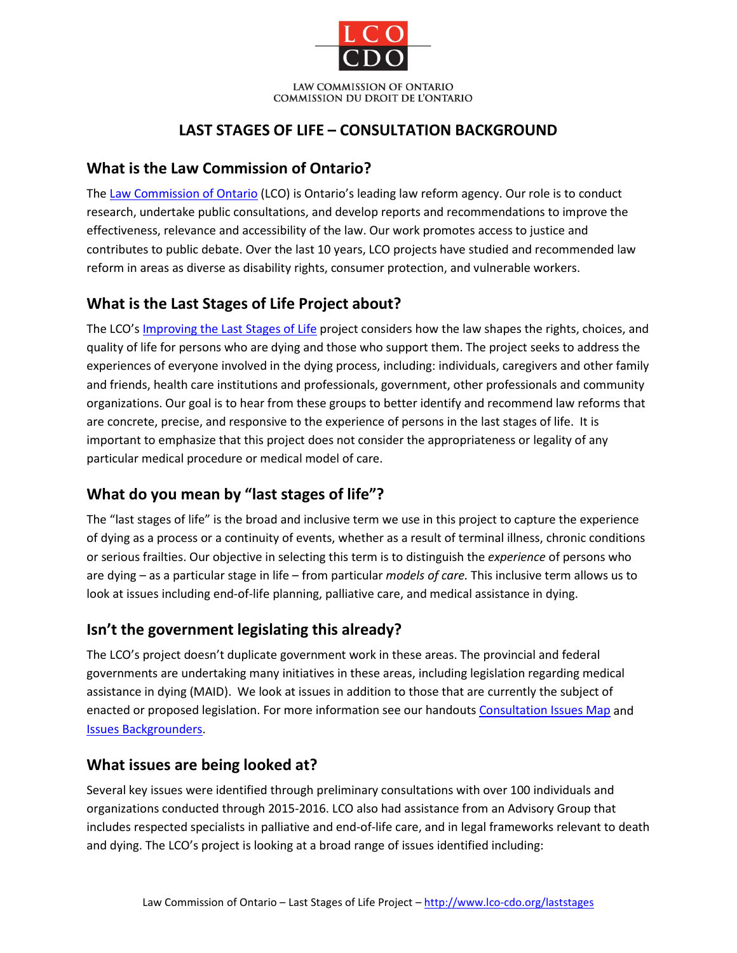

## **LAST STAGES OF LIFE – CONSULTATION BACKGROUND**

#### **What is the Law Commission of Ontario?**

The [Law Commission of Ontario](http://www.lco-cdo.org/laststages) (LCO) is Ontario's leading law reform agency. Our role is to conduct research, undertake public consultations, and develop reports and recommendations to improve the effectiveness, relevance and accessibility of the law. Our work promotes access to justice and contributes to public debate. Over the last 10 years, LCO projects have studied and recommended law reform in areas as diverse as disability rights, consumer protection, and vulnerable workers.

### **What is the Last Stages of Life Project about?**

The LCO'[s Improving the Last Stages of Life](http://www.lco-cdo.org/en/our-current-projects/improving-the-last-stages-of-life/) project considers how the law shapes the rights, choices, and quality of life for persons who are dying and those who support them. The project seeks to address the experiences of everyone involved in the dying process, including: individuals, caregivers and other family and friends, health care institutions and professionals, government, other professionals and community organizations. Our goal is to hear from these groups to better identify and recommend law reforms that are concrete, precise, and responsive to the experience of persons in the last stages of life. It is important to emphasize that this project does not consider the appropriateness or legality of any particular medical procedure or medical model of care.

### **What do you mean by "last stages of life"?**

The "last stages of life" is the broad and inclusive term we use in this project to capture the experience of dying as a process or a continuity of events, whether as a result of terminal illness, chronic conditions or serious frailties. Our objective in selecting this term is to distinguish the *experience* of persons who are dying – as a particular stage in life – from particular *models of care.* This inclusive term allows us to look at issues including end-of-life planning, palliative care, and medical assistance in dying.

# **Isn't the government legislating this already?**

The LCO's project doesn't duplicate government work in these areas. The provincial and federal governments are undertaking many initiatives in these areas, including legislation regarding medical assistance in dying (MAID). We look at issues in addition to those that are currently the subject of enacted or proposed legislation. For more information see our handouts [Consultation Issues Map](http://www.lco-cdo.org/laststages) and [Issues Backgrounders.](http://www.lco-cdo.org/laststages)

#### **What issues are being looked at?**

Several key issues were identified through preliminary consultations with over 100 individuals and organizations conducted through 2015-2016. LCO also had assistance from an Advisory Group that includes respected specialists in palliative and end-of-life care, and in legal frameworks relevant to death and dying. The LCO's project is looking at a broad range of issues identified including: